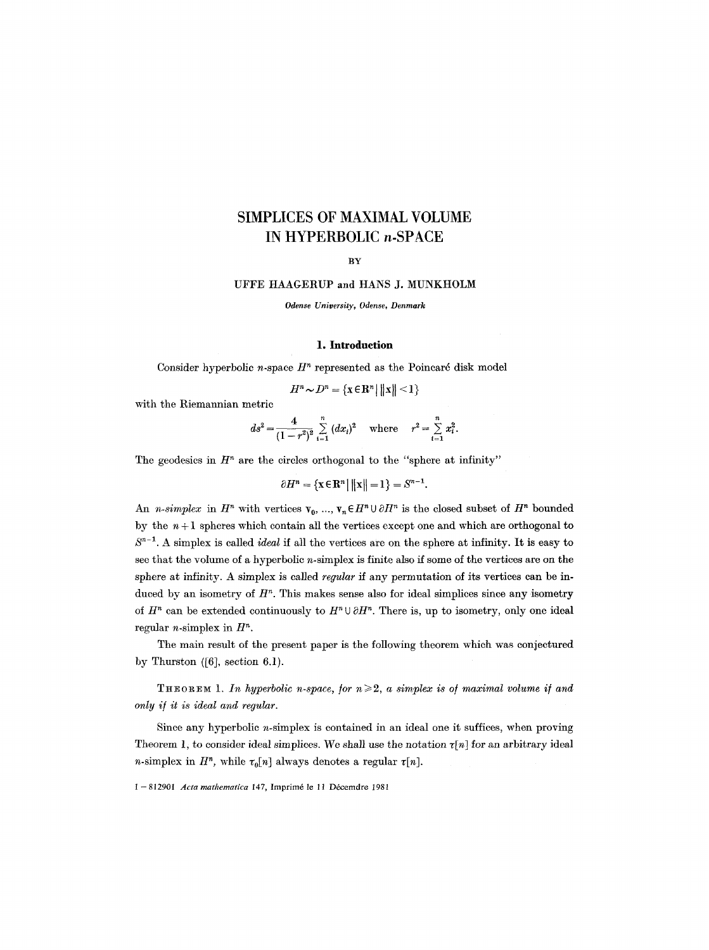# **SIMPLICES OF MAXIMAL VOLUME IN HYPERBOLIC n-SPACE**

# **BY**

UFFE HAAGERUP and HANS J. MUNKHOLM

*Odense University, Odense, Denmark* 

## **1. Introduction**

Consider hyperbolic *n*-space  $H<sup>n</sup>$  represented as the Poincaré disk model

$$
H^n \sim D^n = \{ \mathbf{x} \in \mathbf{R}^n \mid ||\mathbf{x}|| < 1 \}
$$

with the Riemannian metric

$$
ds^{2} = \frac{4}{(1 - r^{2})^{2}} \sum_{i=1}^{n} (dx_{i})^{2} \text{ where } r^{2} = \sum_{i=1}^{n} x_{i}^{2}.
$$

The geodesics in  $H<sup>n</sup>$  are the circles orthogonal to the "sphere at infinity"

$$
\partial H^{n} = \{ \mathbf{x} \in \mathbf{R}^{n} \mid ||\mathbf{x}|| = 1 \} = S^{n-1}.
$$

An *n-simplex* in  $H^n$  with vertices  $v_0, ..., v_n \in H^n \cup \partial H^n$  is the closed subset of  $H^n$  bounded by the  $n+1$  spheres which contain all the vertices except one and which are orthogonal to  $S^{n-1}$ . A simplex is called *ideal* if all the vertices are on the sphere at infinity. It is easy to see that the volume of a hyperbolic  $n$ -simplex is finite also if some of the vertices are on the sphere at infinity. A simplex is called *regular* if any permutation of its vertices can be induced by an isometry of  $H<sup>n</sup>$ . This makes sense also for ideal simplices since any isometry of  $H^n$  can be extended continuously to  $H^n \cup \partial H^n$ . There is, up to isometry, only one ideal regular *n*-simplex in  $H<sup>n</sup>$ .

The main result of the present paper is the following theorem which was conjectured by Thurston  $([6]$ , section 6.1).

THEOREM 1. In hyperbolic n-space, for  $n \geq 2$ , a simplex is of maximal volume if and *only if it is ideal and regular.* 

Since any hyperbolic *n*-simplex is contained in an ideal one it suffices, when proving Theorem 1, to consider ideal simplices. We shall use the notation  $\tau[n]$  for an arbitrary ideal *n*-simplex in  $H^n$ , while  $\tau_0[n]$  always denotes a regular  $\tau[n]$ .

1 - 812901 *Acta mathematica* 147, Imprim6 le 11 D6cerndre 1981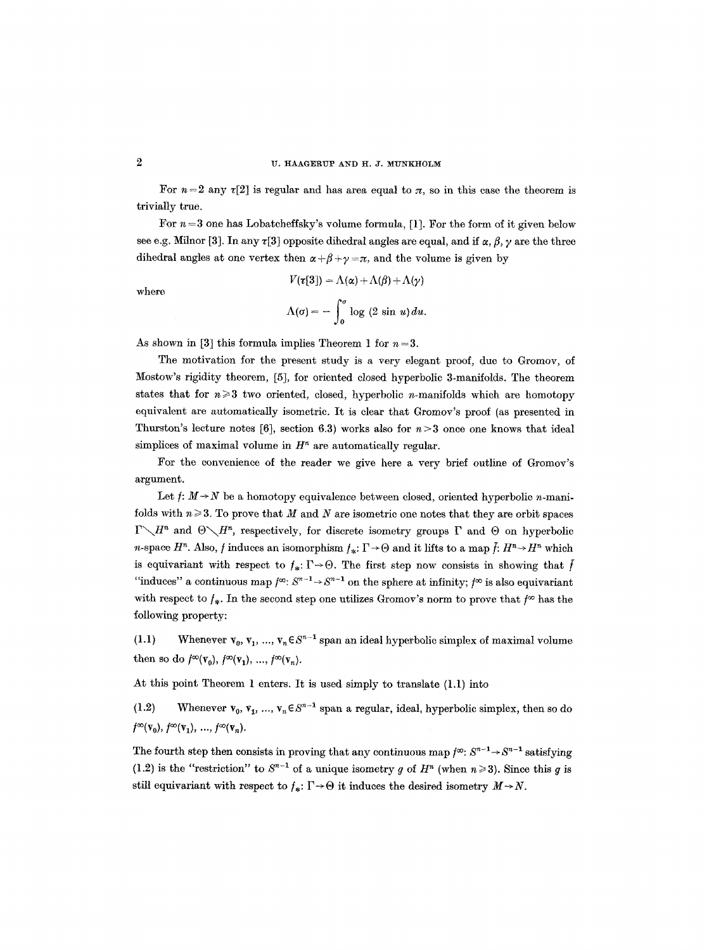#### U. HAAGERUP AND H.J. MUNKHOLM

For  $n=2$  any  $\tau[2]$  is regular and has area equal to  $\pi$ , so in this case the theorem is trivially true.

For  $n = 3$  one has Lobatcheffsky's volume formula, [1]. For the form of it given below see e.g. Milnor [3]. In any  $\tau$ [3] opposite dihedral angles are equal, and if  $\alpha, \beta, \gamma$  are the three dihedral angles at one vertex then  $\alpha + \beta + \gamma = \pi$ , and the volume is given by

where

$$
V(\tau[3]) = \Lambda(\alpha) + \Lambda(\beta) + \Lambda(\gamma)
$$

$$
\Lambda(\sigma) = -\int_0^{\sigma} \log (2 \sin u) du.
$$

As shown in [3] this formula implies Theorem 1 for  $n = 3$ .

The motivation for the present study is a very elegant proof, due to Gromov, of Mostow's rigidity theorem, [5], for oriented closed hyperbolic 3-manifolds. The theorem states that for  $n \geq 3$  two oriented, closed, hyperbolic *n*-manifolds which are homotopy equivalent are automatically isometric. It is clear that Gromov's proof (as presented in Thurston's lecture notes [6], section 6.3) works also for  $n>3$  once one knows that ideal simplices of maximal volume in  $H<sup>n</sup>$  are automatically regular.

For the convenience of the reader we give here a very brief outline of Gromov's argument.

Let  $f: M \rightarrow N$  be a homotopy equivalence between closed, oriented hyperbolic *n*-manifolds with  $n \geqslant 3$ . To prove that M and N are isometric one notes that they are orbit spaces  $\Gamma \setminus H^n$  and  $\Theta \setminus H^n$ , respectively, for discrete isometry groups  $\Gamma$  and  $\Theta$  on hyperbolic *n*-space  $H^n$ . Also, f induces an isomorphism  $f_*$ :  $\Gamma \rightarrow \Theta$  and it lifts to a map  $\tilde{f}: H^n \rightarrow H^n$  which is equivariant with respect to  $f_* : \Gamma \to \Theta$ . The first step now consists in showing that f "induces" a continuous map  $f^{\infty}$ :  $S^{n-1} \rightarrow S^{n-1}$  on the sphere at infinity;  $f^{\infty}$  is also equivariant with respect to  $f_*$ . In the second step one utilizes Gromov's norm to prove that  $f^{\infty}$  has the following property:

(1.1) Whenever  $v_0, v_1, ..., v_n \in S^{n-1}$  span an ideal hyperbolic simplex of maximal volume then so do  $f^{\infty}(\mathbf{v}_0), f^{\infty}(\mathbf{v}_1), ..., f^{\infty}(\mathbf{v}_n)$ .

At this point Theorem 1 enters. It is used simply to translate (1.1) into

(1.2) Whenever  $\mathbf{v}_0, \mathbf{v}_1, ..., \mathbf{v}_n \in S^{n-1}$  span a regular, ideal, hyperbolic simplex, then so do  $f^{\infty}(\mathbf{v}_0), f^{\infty}(\mathbf{v}_1), ..., f^{\infty}(\mathbf{v}_n).$ 

The fourth step then consists in proving that any continuous map  $f^{\infty}$ :  $S^{n-1} \rightarrow S^{n-1}$  satisfying (1.2) is the "restriction" to  $S^{n-1}$  of a unique isometry g of  $H^n$  (when  $n \ge 3$ ). Since this g is still equivariant with respect to  $f_*\colon \Gamma \to \Theta$  it induces the desired isometry  $M \to N$ .

 $\overline{2}$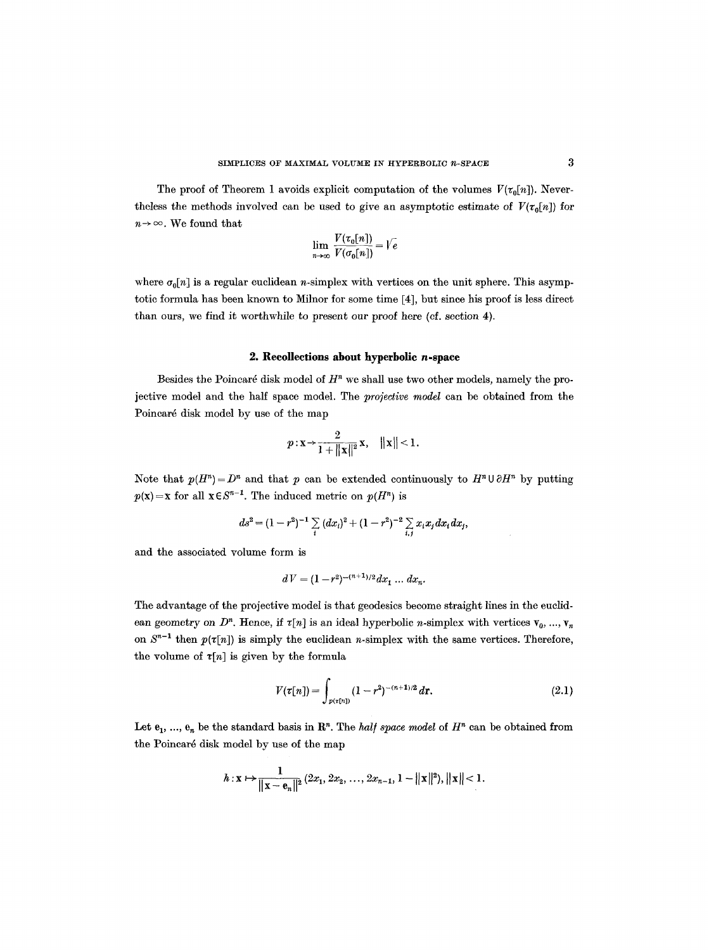The proof of Theorem 1 avoids explicit computation of the volumes  $V(\tau_0[n])$ . Nevertheless the methods involved can be used to give an asymptotic estimate of  $V(\tau_0[n])$  for  $n \rightarrow \infty$ . We found that

$$
\lim_{n\to\infty}\frac{V(\tau_0[n])}{V(\sigma_0[n])} = \sqrt{e}
$$

where  $\sigma_0[n]$  is a regular euclidean n-simplex with vertices on the unit sphere. This asymptotic formula has been known to Milnor for some time [4], but since his proof is less direct than ours, we find it worthwhile to present our proof here (cf. section 4).

### **2. Recollections about hyperbolic n-space**

Besides the Poincaré disk model of  $H<sup>n</sup>$  we shall use two other models, namely the projective model and the half space model. The *projective model* can be obtained from the Poincaré disk model by use of the map

$$
p: \mathbf{x} \to \frac{2}{1 + ||\mathbf{x}||^2} \mathbf{x}, \quad ||\mathbf{x}|| < 1.
$$

Note that  $p(H^n) = D^n$  and that p can be extended continuously to  $H^n \cup \partial H^n$  by putting  $p(\mathbf{x}) = \mathbf{x}$  for all  $\mathbf{x} \in S^{n-1}$ . The induced metric on  $p(H^n)$  is

$$
ds^{2} = (1 - r^{2})^{-1} \sum_{i} (dx_{i})^{2} + (1 - r^{2})^{-2} \sum_{i,j} x_{i} x_{j} dx_{i} dx_{j},
$$

and the associated volume form is

$$
dV = (1 - r^2)^{-(n+1)/2} dx_1 \dots dx_n.
$$

The advantage of the projective model is that geodesics become straight lines in the euclidean geometry on  $D^n$ . Hence, if  $\tau[n]$  is an ideal hyperbolic *n*-simplex with vertices  $\mathbf{v}_0, \ldots, \mathbf{v}_n$ on  $S^{n-1}$  then  $p(\tau[n])$  is simply the euclidean *n*-simplex with the same vertices. Therefore, the volume of  $\tau[n]$  is given by the formula

$$
V(\tau[n]) = \int_{p(\tau[n])} (1 - r^2)^{-(n+1)/2} dr.
$$
 (2.1)

Let  $e_1$ , ...,  $e_n$  be the standard basis in  $\mathbb{R}^n$ . The *half space model* of  $H^n$  can be obtained from the Poincaré disk model by use of the map

$$
h: \mathbf{x} \mapsto \frac{1}{\|\mathbf{x}-\mathbf{e}_n\|^2} (2x_1, 2x_2, \ldots, 2x_{n-1}, 1 - \|\mathbf{x}\|^2), \|\mathbf{x}\| < 1.
$$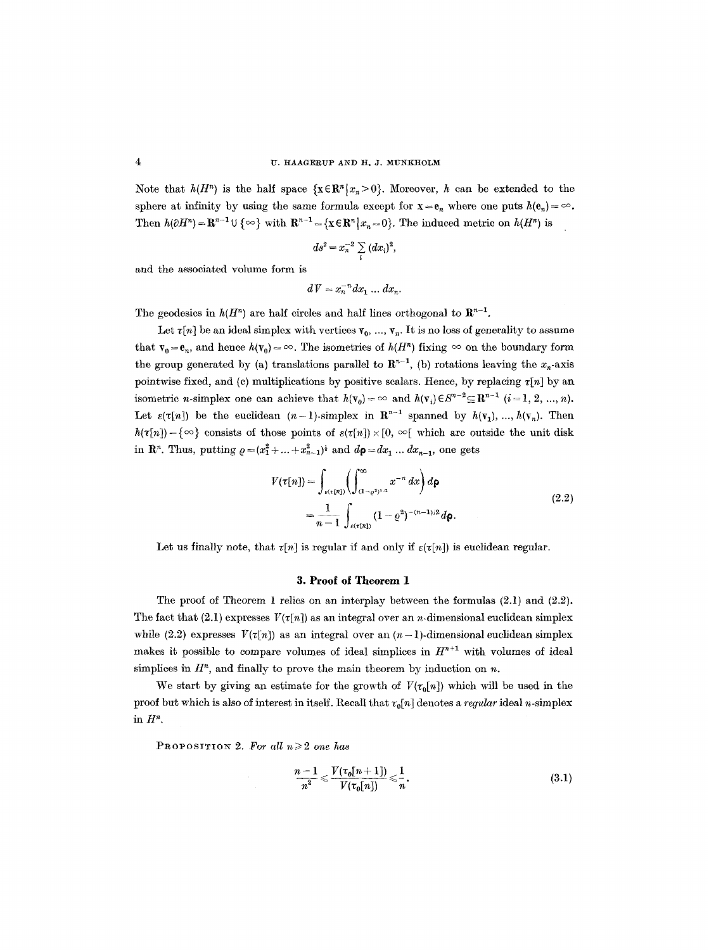Note that  $h(H^n)$  is the half space  $\{x \in \mathbb{R}^n | x_n > 0\}$ . Moreover, h can be extended to the sphere at infinity by using the same formula except for  $x = e_n$  where one puts  $h(e_n) = \infty$ . Then  $h(\partial H^n) = \mathbb{R}^{n-1} \cup \{ \infty \}$  with  $\mathbb{R}^{n-1} = \{ \mathbf{x} \in \mathbb{R}^n \mid x_n = 0 \}$ . The induced metric on  $h(H^n)$  is

$$
ds^2 = x_n^{-2} \sum_i (dx_i)^2,
$$

and the associated volume form is

$$
dV = x_n^{-n} dx_1 \dots dx_n.
$$

The geodesics in  $h(H^n)$  are half circles and half lines orthogonal to  $\mathbb{R}^{n-1}$ .

Let  $\tau[n]$  be an ideal simplex with vertices  $v_0, ..., v_n$ . It is no loss of generality to assume that  $\mathbf{v}_0 = \mathbf{e}_n$ , and hence  $h(\mathbf{v}_0) = \infty$ . The isometries of  $h(H^n)$  fixing  $\infty$  on the boundary form the group generated by (a) translations parallel to  $\mathbb{R}^{n-1}$ , (b) rotations leaving the  $x_n$ -axis pointwise fixed, and (c) multiplications by positive scalars. Hence, by replacing  $\tau[n]$  by an isometric *n*-simplex one can achieve that  $h(\mathbf{v}_0) = \infty$  and  $h(\mathbf{v}_i) \in S^{n-2} \subseteq \mathbb{R}^{n-1}$   $(i=1, 2, ..., n)$ . Let  $\varepsilon(\tau[n])$  be the euclidean  $(n-1)$ -simplex in  $\mathbb{R}^{n-1}$  spanned by  $h(\mathbf{v}_1), ..., h(\mathbf{v}_n)$ . Then  $h(\tau[n])-\{\infty\}$  consists of those points of  $\varepsilon(\tau[n])\times[0, \infty[$  which are outside the unit disk in  $\mathbb{R}^n$ . Thus, putting  $\rho = (x_1^2 + ... + x_{n-1}^2)^{\frac{1}{2}}$  and  $d\rho = dx_1 ... dx_{n-1}$ , one gets

$$
V(\tau[n]) = \int_{\epsilon(\tau[n])} \left( \int_{(1-\varrho^2)^{1/2}}^{\infty} x^{-n} dx \right) d\mathbf{p}
$$
  
= 
$$
\frac{1}{n-1} \int_{\epsilon(\tau[n])} (1-\varrho^2)^{-(n-1)/2} d\mathbf{p}.
$$
 (2.2)

Let us finally note, that  $\tau[n]$  is regular if and only if  $\varepsilon(\tau[n])$  is euclidean regular.

# **3. Proof of Theorem 1**

The proof of Theorem 1 relies on an interplay between the formulas (2.1) and (2.2). The fact that (2.1) expresses  $V(\tau(n))$  as an integral over an *n*-dimensional euclidean simplex while (2.2) expresses  $V(\tau[n])$  as an integral over an  $(n-1)$ -dimensional euclidean simplex makes it possible to compare volumes of ideal simplices in  $H^{n+1}$  with volumes of ideal simplices in  $H<sup>n</sup>$ , and finally to prove the main theorem by induction on n.

We start by giving an estimate for the growth of  $V(\tau_0[n])$  which will be used in the proof but which is also of interest in itself. Recall that  $\tau_0[n]$  denotes a *regular* ideal n-simplex in *H".* 

PROPOSITION 2. For all  $n \geqslant 2$  one has

$$
\frac{n-1}{n^2} \leqslant \frac{V(\tau_0[n+1])}{V(\tau_0[n])} \leqslant \frac{1}{n}.
$$
\n(3.1)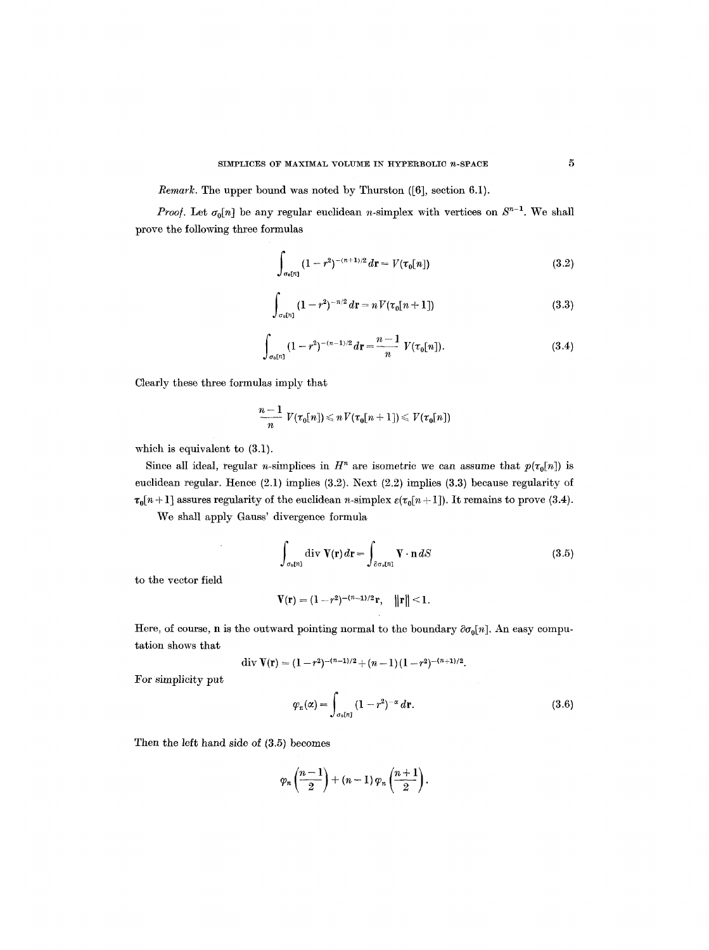*Remark.* The upper bound was noted by Thurston ([6], section 6.1).

*Proof.* Let  $\sigma_0[n]$  be any regular euclidean n-simplex with vertices on  $S^{n-1}$ . We shall prove the following three formulas

$$
\int_{\sigma_0[n]} (1-r^2)^{-(n+1)/2} dr = V(\tau_0[n])
$$
\n(3.2)

$$
\int_{\sigma_0[n]} (1 - r^2)^{-n/2} dr = n V(\tau_0[n+1])
$$
\n(3.3)

$$
\int_{\sigma_0[n]} (1-r^2)^{-(n-1)/2} dr = \frac{n-1}{n} V(\tau_0[n]).
$$
\n(3.4)

Clearly these three formulas imply that

$$
\frac{n-1}{n} V(\tau_0[n]) \leqslant n V(\tau_0[n+1]) \leqslant V(\tau_0[n])
$$

which is equivalent to (3.1).

 $\sim$ 

Since all ideal, regular *n*-simplices in  $H^n$  are isometric we can assume that  $p(\tau_0[n])$  is euclidean regular. Hence (2.1) implies (3.2). Next (2.2) implies (3.3) because regularity of  $\tau_0[n+1]$  assures regularity of the euclidean n-simplex  $\varepsilon(\tau_0[n+1])$ . It remains to prove (3.4).

We shall apply Gauss' divergence formula

$$
\int_{\sigma_0[n]} \operatorname{div} \mathbf{V}(\mathbf{r}) d\mathbf{r} = \int_{\partial \sigma_0[n]} \mathbf{V} \cdot \mathbf{n} dS
$$
\n(3.5)

to the vector field

$$
V(r)=(1-r^2)^{-(n-1)/2}r, \quad ||r||<1.
$$

Here, of course, n is the outward pointing normal to the boundary  $\partial \sigma_0[n]$ . An easy computation shows that

$$
\text{div } \mathbf{V}(\mathbf{r}) = (1-r^2)^{-(n-1)/2} + (n-1)(1-r^2)^{-(n+1)/2}.
$$

For simplicity put

$$
\varphi_r(\alpha) = \int_{\sigma_0[n]} (1 - r^2)^{-\alpha} \, d\mathbf{r}.\tag{3.6}
$$

Then the left hand side of (3.5) becomes

$$
\varphi_n\left(\frac{n-1}{2}\right) + (n-1)\,\varphi_n\left(\frac{n+1}{2}\right).
$$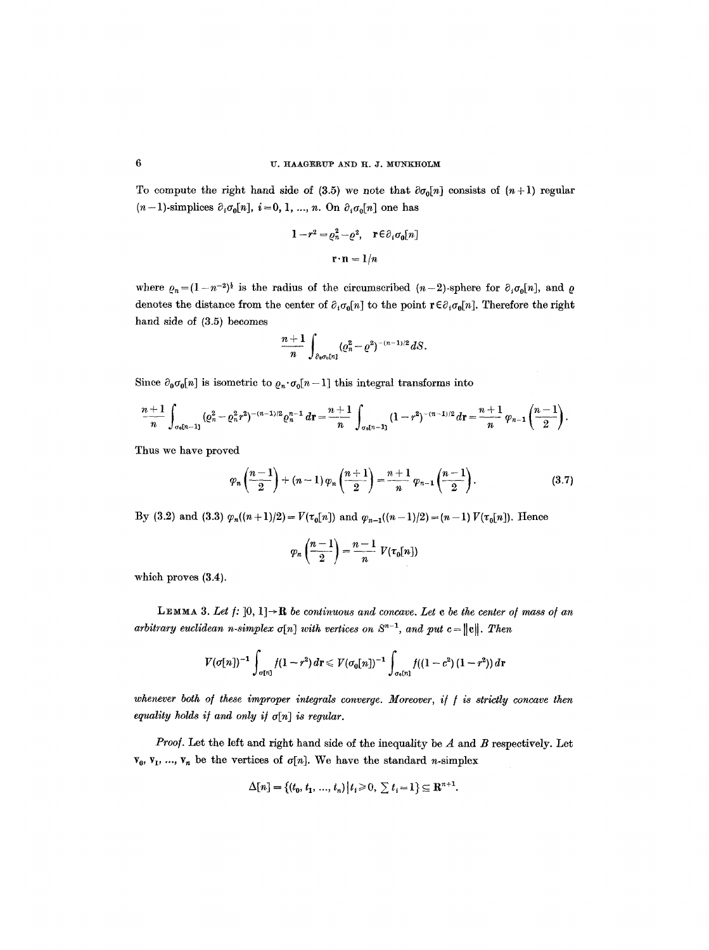To compute the right hand side of (3.5) we note that  $\partial \sigma_0[n]$  consists of  $(n+1)$  regular  $(n-1)$ -simplices  $\partial_i \sigma_0[n]$ ,  $i=0, 1, ..., n$ . On  $\partial_i \sigma_0[n]$  one has

$$
1 - r^2 = \varrho_n^2 - \varrho^2, \quad \mathbf{r} \in \partial_i \sigma_0[n]
$$

$$
\mathbf{r} \cdot \mathbf{n} = 1/n
$$

where  $\rho_n=(1-n^{-2})^{\frac{1}{2}}$  is the radius of the circumscribed  $(n-2)$ -sphere for  $\partial_i\sigma_0[n]$ , and  $\rho$ denotes the distance from the center of  $\partial_i \sigma_0[n]$  to the point  $r \in \partial_i \sigma_0[n]$ . Therefore the right hand side of (3.5) becomes

$$
\frac{n+1}{n}\int_{\partial_0\sigma_0[n]}( \varrho_n^2-\varrho^2)^{-(n-1)/2}dS.
$$

Since  $\partial_0 \sigma_0[n]$  is isometric to  $\varrho_n \cdot \sigma_0[n-1]$  this integral transforms into

$$
\frac{n+1}{n}\int_{\sigma_0[n-1]}(e_n^2-e_n^2r^2)^{-(n-1)/2}e_n^{n-1}dr=\frac{n+1}{n}\int_{\sigma_0[n-1]}(1-r^2)^{-(n-1)/2}dr=\frac{n+1}{n}\varphi_{n-1}\left(\frac{n-1}{2}\right).
$$

Thus we have proved

$$
\varphi_n\left(\frac{n-1}{2}\right) + (n-1)\varphi_n\left(\frac{n+1}{2}\right) = \frac{n+1}{n}\varphi_{n-1}\left(\frac{n-1}{2}\right). \tag{3.7}
$$

By (3.2) and (3.3)  $\varphi_n((n+1)/2) = V(\tau_0[n])$  and  $\varphi_{n-1}((n-1)/2) = (n-1)V(\tau_0[n])$ . Hence

$$
\varphi_n\left(\frac{n-1}{2}\right)=\frac{n-1}{n} V(\tau_0[n])
$$

which proves (3.4).

**LEMMA 3.** Let  $f: [0, 1] \rightarrow \mathbb{R}$  be continuous and concave. Let c be the center of mass of an *arbitrary euclidean n-simplex*  $\sigma[n]$  *with vertices on*  $S^{n-1}$ *, and put c* =  $\|\mathbf{e}\|$ *. Then* 

$$
V(\sigma[n])^{-1} \int_{\sigma[n]} f(1-r^2) dr \leqslant V(\sigma_0[n])^{-1} \int_{\sigma_0[n]} f((1-c^2) (1-r^2)) dr
$$

whenever both of these improper integrals converge. Moreover, if f is strictly concave then *equality holds if and only if*  $\sigma[n]$  *is regular.* 

*Proof.* Let the left and right hand side of the inequality be A and B respectively. Let  $\mathbf{v}_{0}$ ,  $\mathbf{v}_{1}$ , ...,  $\mathbf{v}_{n}$  be the vertices of  $\sigma[n]$ . We have the standard *n*-simplex

$$
\Delta[n]=\{(t_0,\,t_1,\,...,\,t_n)\,\big|\,t_i\!\geqslant\!0,\,\sum t_i\!=\!1\}\!\subseteq\mathbf{R}^{n+1}
$$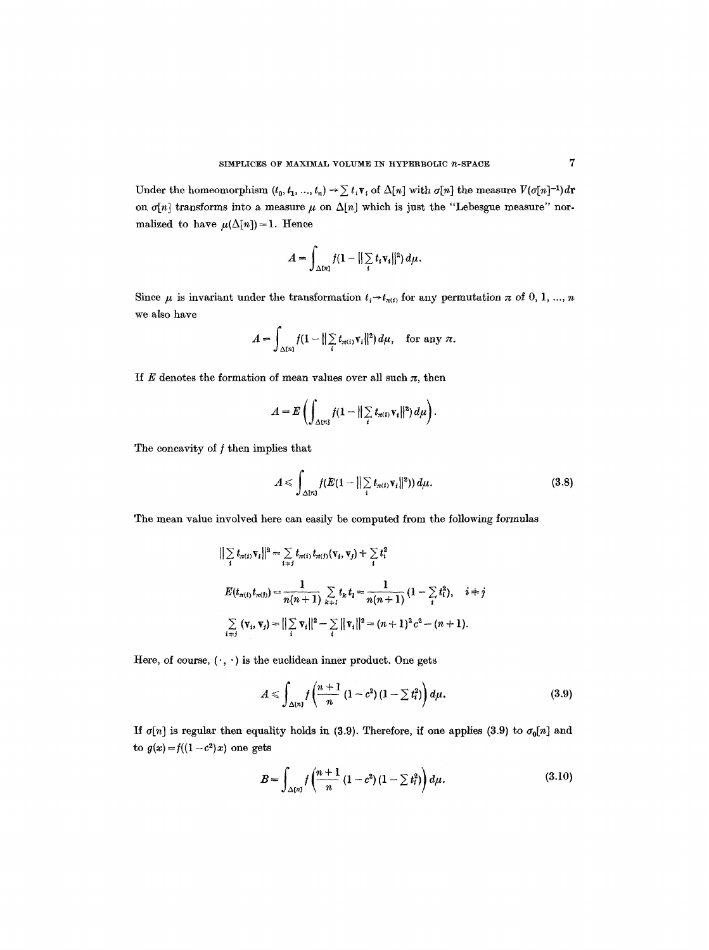Under the homeomorphism  $(t_0, t_1, ..., t_n) \rightarrow \sum t_i v_i$  of  $\Delta[n]$  with  $\sigma[n]$  the measure  $V(\sigma[n]^{-1})dr$ on  $\sigma[n]$  transforms into a measure  $\mu$  on  $\Delta[n]$  which is just the "Lebesgue measure" normalized to have  $\mu(\Delta[n]) = 1$ . Hence

$$
A=\int_{\Delta[n]}f(1-||\sum_{i}t_i\mathbf{v_i}||^2)\,d\mu.
$$

Since  $\mu$  is invariant under the transformation  $t_i \rightarrow t_{\pi(i)}$  for any permutation  $\pi$  of 0, 1, ..., n we also have

$$
A=\int_{\Delta[n]}f(1-\|\sum_i t_{\pi(i)}\mathbf{v}_i\|^2)d\mu,\quad \text{for any } \pi.
$$

If  $E$  denotes the formation of mean values over all such  $\pi$ , then

$$
A=E\left(\int_{\Delta[n]}f(1-\|\sum_i t_{\pi(i)}\mathbf{v}_i\|^2)\,d\mu\right).
$$

The concavity of  $f$  then implies that

$$
A \leqslant \int_{\Delta[n]} f(E(1-||\sum_{i} t_{\pi(i)} \mathbf{v}_i||^2)) d\mu.
$$
 (3.8)

The mean value involved here can easily be computed from the following formulas

$$
\begin{aligned}\n||\sum_{i} t_{\pi(i)} \mathbf{v}_{i}||^{2} &= \sum_{i \neq j} t_{\pi(i)} t_{\pi(j)} (\mathbf{v}_{i}, \mathbf{v}_{j}) + \sum_{i} t_{i}^{2} \\
E(t_{\pi(i)} t_{\pi(j)}) &= \frac{1}{n(n+1)} \sum_{k \neq i} t_{k} t_{i} = \frac{1}{n(n+1)} \left(1 - \sum_{i} t_{i}^{2}\right), \quad i \neq j \\
\sum_{i \neq j} (\mathbf{v}_{i}, \mathbf{v}_{j}) &= \left\| \sum_{i} \mathbf{v}_{i} \right\|^{2} - \sum_{i} \|\mathbf{v}_{i}\|^{2} = (n+1)^{2} c^{2} - (n+1).\n\end{aligned}
$$

Here, of course,  $(\cdot, \cdot)$  is the euclidean inner product. One gets

$$
A \leq \int_{\Delta[n]} f\left(\frac{n+1}{n} (1-c^2) (1-\sum t_i^2) \right) d\mu.
$$
 (3.9)

If  $\sigma[n]$  is regular then equality holds in (3.9). Therefore, if one applies (3.9) to  $\sigma_0[n]$  and to  $g(x) = f((1-c^2)x)$  one gets

$$
B = \int_{\Delta[n]} f\left(\frac{n+1}{n} (1-c^2) (1-\sum t_i^2)\right) d\mu.
$$
 (3.10)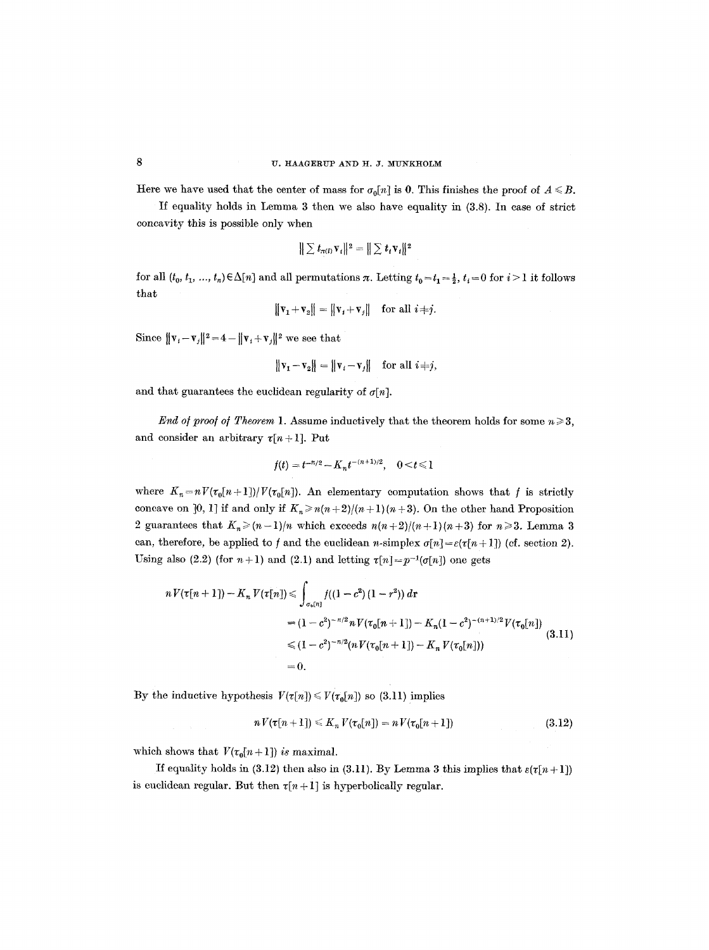Here we have used that the center of mass for  $\sigma_0[n]$  is 0. This finishes the proof of  $A \leq B$ .

If equality holds in Lemma 3 then we also have equahty in (3.8). In case of strict concavity this is possible only when

$$
\|\sum t_{\pi(i)}\mathbf{v}_i\|^2=\|\sum t_i\mathbf{v}_i\|^2
$$

for all  $(t_0, t_1, ..., t_n) \in \Delta[n]$  and all permutations  $\pi$ . Letting  $t_0 = t_1 = \frac{1}{2}$ ,  $t_i = 0$  for  $i > 1$  it follows that

 $\|\mathbf{v}_1+\mathbf{v}_2\| = \|\mathbf{v}_i+\mathbf{v}_j\|$  for all  $i \neq j$ .

Since  $\|\mathbf{v}_i - \mathbf{v}_j\|^2 = 4 - \|\mathbf{v}_i + \mathbf{v}_j\|^2$  we see that

$$
\|\mathbf{v}_1 - \mathbf{v}_2\| = \|\mathbf{v}_i - \mathbf{v}_j\| \text{ for all } i \neq j,
$$

and that guarantees the euclidean regularity of  $\sigma[n]$ .

*End of proof of Theorem 1.* Assume inductively that the theorem holds for some  $n \geqslant 3$ , and consider an arbitrary  $\tau[n+1]$ . Put

$$
f(t) = t^{-n/2} - K_n t^{-(n+1)/2}, \quad 0 < t \leq 1
$$

where  $K_n=nV(\tau_0[n+1])/V(\tau_0[n])$ . An elementary computation shows that f is strictly concave on [0, 1] if and only if  $K_n \ge n(n+2)/(n+1)(n+3)$ . On the other hand Proposition 2 guarantees that  $K_n \ge (n-1)/n$  which exceeds  $n(n+2)/(n+1)(n+3)$  for  $n \ge 3$ . Lemma 3 can, therefore, be applied to f and the euclidean n-simplex  $\sigma[n] = \varepsilon(\tau[n+1])$  (cf. section 2). Using also (2.2) (for  $n+1$ ) and (2.1) and letting  $\tau[n] = p^{-1}(\sigma[n])$  one gets

$$
n V(\tau[n+1]) - K_n V(\tau[n]) \leq \int_{\sigma_b(n)} f((1-c^2)(1-r^2)) dr
$$
  
=  $(1-c^2)^{-n/2} n V(\tau_0[n+1]) - K_n (1-c^2)^{-(n+1)/2} V(\tau_0[n])$   
 $\leq (1-c^2)^{-n/2} (n V(\tau_0[n+1]) - K_n V(\tau_0[n]))$   
= 0. (3.11)

By the inductive hypothesis  $V(\tau[n]) \le V(\tau_0[n])$  so (3.11) implies

$$
n V(\tau[n+1]) \leq K_n V(\tau_0[n]) = n V(\tau_0[n+1]) \qquad (3.12)
$$

which shows that  $V(\tau_0[n+1])$  *is* maximal.

If equality holds in (3.12) then also in (3.11). By Lemma 3 this implies that  $\varepsilon(\tau[n+1])$ is euclidean regular. But then  $\tau[n+1]$  is hyperbolically regular.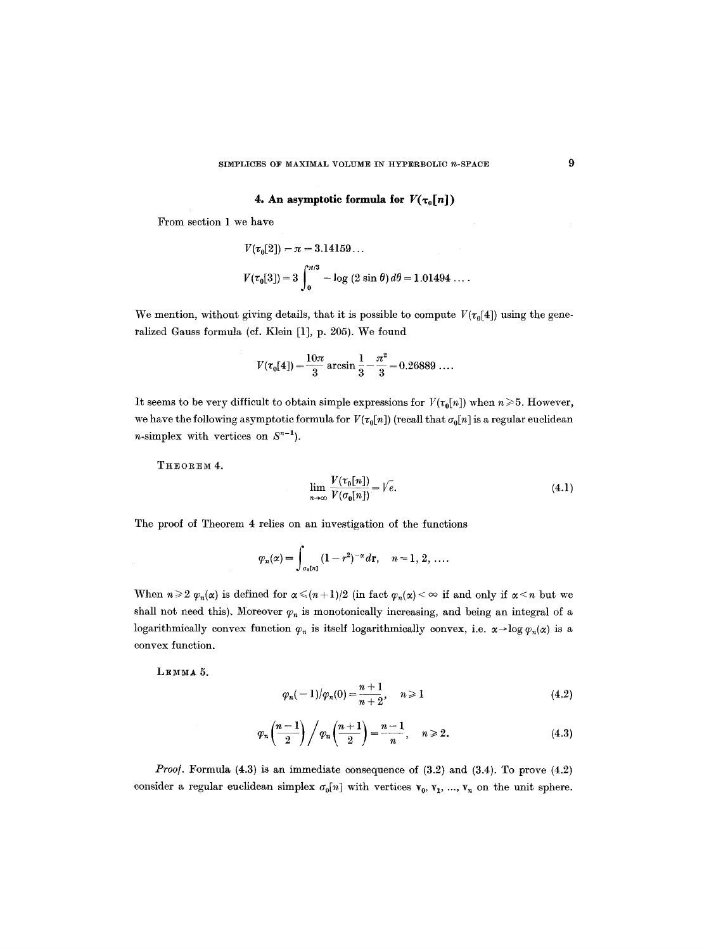**4. An asymptotic formula for**  $V(\tau_0[n])$ 

From section 1 we have

$$
V(\tau_0[2]) = \pi = 3.14159...
$$
  

$$
V(\tau_0[3]) = 3 \int_0^{\pi/3} -\log(2 \sin \theta) d\theta = 1.01494...
$$

We mention, without giving details, that it is possible to compute  $V(\tau_0[4])$  using the generalized Gauss formula (cf. Klein [1], p. 205). We found

$$
V(\tau_0[4]) = \frac{10\pi}{3} \arcsin \frac{1}{3} - \frac{\pi^2}{3} = 0.26889 \dots
$$

It seems to be very difficult to obtain simple expressions for  $V(\tau_0[n])$  when  $n \ge 5$ . However, we have the following asymptotic formula for  $V(\tau_0[n])$  (recall that  $\sigma_0[n]$  is a regular euclidean *n*-simplex with vertices on  $S^{n-1}$ ).

THEOREM 4.

$$
\lim_{n \to \infty} \frac{V(\tau_0[n])}{V(\sigma_0[n])} = \sqrt{e}.
$$
\n(4.1)

The proof of Theorem 4 relies on an investigation of the functions

$$
\varphi_n(\alpha) = \int_{\sigma_0[n]} (1-r^2)^{-\alpha} d\mathbf{r}, \quad n = 1, 2, \ldots
$$

When  $n \geq 2$   $\varphi_n(\alpha)$  is defined for  $\alpha \leq (n+1)/2$  (in fact  $\varphi_n(\alpha) < \infty$  if and only if  $\alpha \leq n$  but we shall not need this). Moreover  $\varphi_n$  is monotonically increasing, and being an integral of a logarithmically convex function  $\varphi_n$  is itself logarithmically convex, i.e.  $\alpha \rightarrow \log \varphi_n(\alpha)$  is a convex function.

LEMMA<sub>5</sub>.

$$
\varphi_n(-1)/\varphi_n(0) = \frac{n+1}{n+2}, \quad n \ge 1 \tag{4.2}
$$

$$
\varphi_n\left(\frac{n-1}{2}\right)\bigg/\varphi_n\left(\frac{n+1}{2}\right)=\frac{n-1}{n},\quad n\geqslant 2.
$$
\n(4.3)

*Proof.* Formula (4.3) is an immediate consequence of (3.2) and (3.4). To prove (4.2) consider a regular euclidean simplex  $\sigma_0[n]$  with vertices  $v_0, v_1, ..., v_n$  on the unit sphere.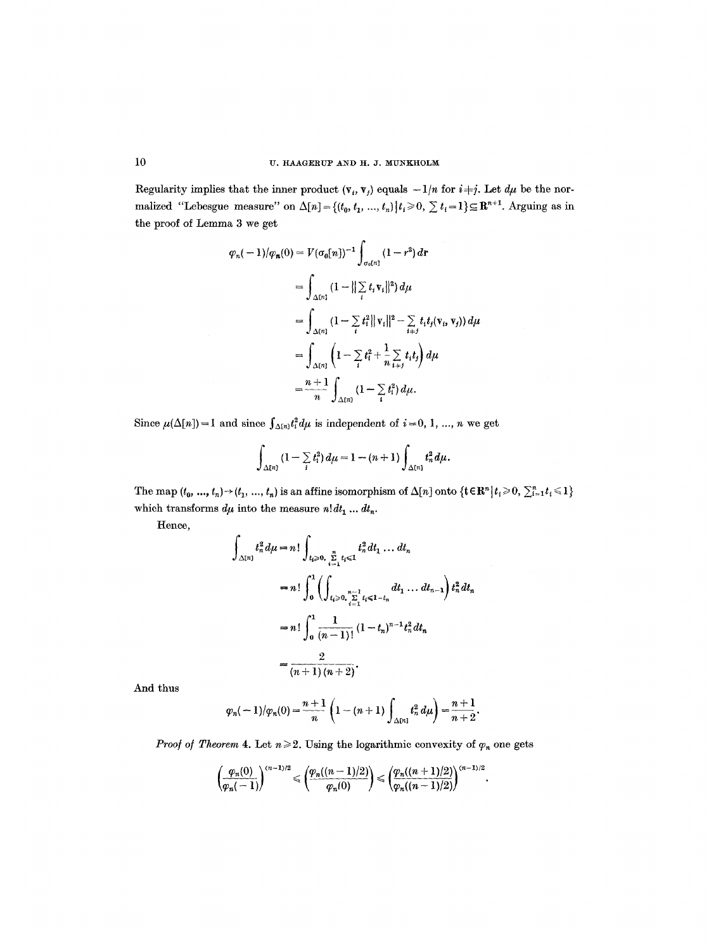Regularity implies that the inner product  $(v_i, v_j)$  equals  $-1/n$  for  $i \neq j$ . Let  $d\mu$  be the normalized "Lebesgue measure" on  $\Delta[n] = \{(t_0, t_1, ..., t_n) | t_i \geq 0, \sum t_i = 1 \} \subseteq \mathbb{R}^{n+1}$ . Arguing as in the proof of Lemma 3 we get

$$
\varphi_n(-1)/\varphi_n(0) = V(\sigma_0[n])^{-1} \int_{\sigma_0[n]} (1-r^2) dr
$$
  
= 
$$
\int_{\Delta[n]} (1-||\sum_{i} t_i v_i||^2) d\mu
$$
  
= 
$$
\int_{\Delta[n]} (1-\sum_{i} t_i^2 ||v_i||^2 - \sum_{i \neq j} t_i t_j (v_i, v_j)) d\mu
$$
  
= 
$$
\int_{\Delta[n]} (1-\sum_{i} t_i^2 + \frac{1}{n} \sum_{i \neq j} t_i t_j) d\mu
$$
  
= 
$$
\frac{n+1}{n} \int_{\Delta[n]} (1-\sum_{i} t_i^2) d\mu.
$$

Since  $\mu(\Delta[n]) = 1$  and since  $\int_{\Delta[n]} t_i^2 d\mu$  is independent of  $i = 0, 1, ..., n$  we get

$$
\int_{\Delta[n]}(1-\sum_i t_i^2)\,d\mu=1-(n+1)\int_{\Delta[n]}t_n^2\,d\mu.
$$

The map  $(t_0, ..., t_n) \rightarrow (t_1, ..., t_n)$  is an affine isomorphism of  $\Delta[n]$  onto  $\{\mathbf{t} \in \mathbb{R}^n | t_i \geq 0, \sum_{i=1}^n t_i \leq 1\}$ which transforms  $d\mu$  into the measure  $n! dt_1 \dots dt_n.$ 

Hence,

$$
\int_{\Delta[n]} t_n^2 d\mu = n! \int_{t_i \ge 0, \sum\limits_{i=1}^n t_i \le 1} t_n^2 dt_1 \dots dt_n
$$
  
=  $n! \int_0^1 \left( \int_{t_i \ge 0, \sum\limits_{i=1}^{n-1} t_i \le 1-t_n} dt_1 \dots dt_{n-1} \right) t_n^2 dt_n$   
=  $n! \int_0^1 \frac{1}{(n-1)!} (1-t_n)^{n-1} t_n^2 dt_n$   
=  $\frac{2}{(n+1)(n+2)}.$ 

And thus

$$
\varphi_n(-1)/\varphi_n(0) = \frac{n+1}{n} \left(1-(n+1)\int_{\Delta[n]} t_n^2 d\mu\right) = \frac{n+1}{n+2}.
$$

*Proof of Theorem* 4. Let  $n \geq 2$ . Using the logarithmic convexity of  $\varphi_n$  one gets

$$
\left(\frac{\varphi_n(0)}{\varphi_n(-1)}\right)^{(n-1)/2} \leqslant \left(\frac{\varphi_n((n-1)/2)}{\varphi_n(0)}\right) \leqslant \left(\frac{\varphi_n((n+1)/2)}{\varphi_n((n-1)/2)}\right)^{(n-1)/2}
$$